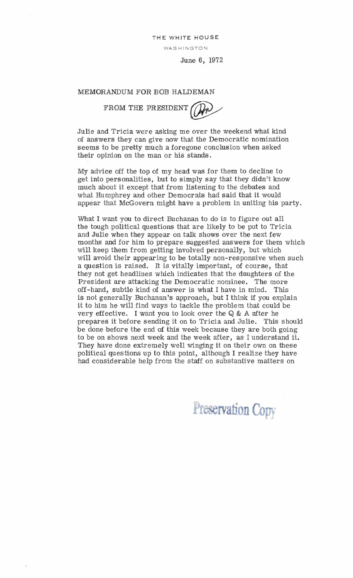THE WHITE HOUSE

WASHINGTON

June 6, 1972

## MEMORANDUM FOR BOB HALDEMAN

FROM THE PRESIDENT

Julie and Tricia were asking me over the weekend what kind of answers they can give now that the Democratic nomination seems to be pretty much a foregone conclusion when asked their opinion on the man or his stands.

My advice off the top of my he ad was for them to decline to get into personalities, but to simply say that they didn't know much about it except that from listening to the debates and what Humphrey and other Democr ats had said that it would appear that McGovern might have a problem in uniting his party.

What I want you to direct Buchanan to do is to figure out all the tough political questions that are likely to be put to Tricia and Julie when they appear on talk shows over the next few months and for him to prepare suggested answers for them which will keep them from getting involved personally, but which will avoid their appearing to be totally non-responsive when such a question is raised. It is vitally important, of course, that they not get headlines which indicates that the daughters of the President are attacking the Democratic nominee. The more off- hand, subtle kind of answer is what I have in mind. This is not gener ally Buchanan 's approach, but I think if you explain it to him he will find ways to tackle the problem that could be very effective. I want you to look over the  $Q & A$  after he prepares it before sending it on to Tricia and Julie. This should be done before the end of this week because they are both going to be on shows next week and the week after, as I understand it. They have done extremely well winging it on their own on these political questions up to this point, although I realize they have had considerable help from the staff on substantive matters on

Preservation Copy